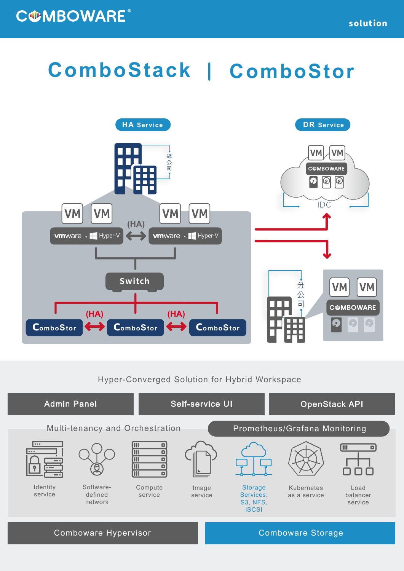## **ComboStack ComboStor**



## Hyper-Converged Solution for Hybrid Workspace



Comboware Hypervisor **Comboware Storage** Comboware Storage